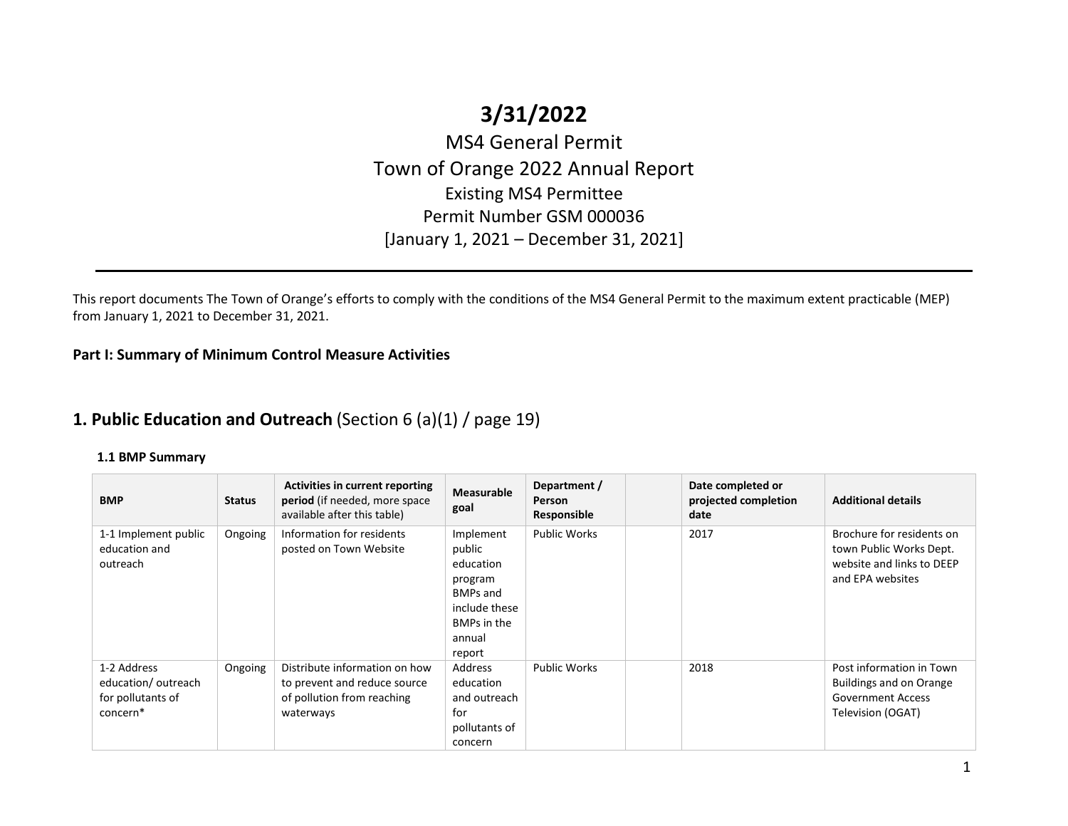# **3/31/2022**

MS4 General Permit Town of Orange 2022 Annual Report Existing MS4 Permittee Permit Number GSM 000036 [January 1, 2021 – December 31, 2021]

This report documents The Town of Orange's efforts to comply with the conditions of the MS4 General Permit to the maximum extent practicable (MEP) from January 1, 2021 to December 31, 2021.

**Part I: Summary of Minimum Control Measure Activities** 

# **1. Public Education and Outreach** (Section 6 (a)(1) / page 19)

| <b>BMP</b>                                                                     | <b>Status</b> | <b>Activities in current reporting</b><br>period (if needed, more space<br>available after this table)   | <b>Measurable</b><br>goal                                                                                          | Department /<br>Person<br>Responsible | Date completed or<br>projected completion<br>date | <b>Additional details</b>                                                                             |
|--------------------------------------------------------------------------------|---------------|----------------------------------------------------------------------------------------------------------|--------------------------------------------------------------------------------------------------------------------|---------------------------------------|---------------------------------------------------|-------------------------------------------------------------------------------------------------------|
| 1-1 Implement public<br>education and<br>outreach                              | Ongoing       | Information for residents<br>posted on Town Website                                                      | Implement<br>public<br>education<br>program<br><b>BMPs and</b><br>include these<br>BMPs in the<br>annual<br>report | <b>Public Works</b>                   | 2017                                              | Brochure for residents on<br>town Public Works Dept.<br>website and links to DEEP<br>and EPA websites |
| 1-2 Address<br>education/outreach<br>for pollutants of<br>concern <sup>*</sup> | Ongoing       | Distribute information on how<br>to prevent and reduce source<br>of pollution from reaching<br>waterways | Address<br>education<br>and outreach<br>for<br>pollutants of<br>concern                                            | <b>Public Works</b>                   | 2018                                              | Post information in Town<br>Buildings and on Orange<br><b>Government Access</b><br>Television (OGAT)  |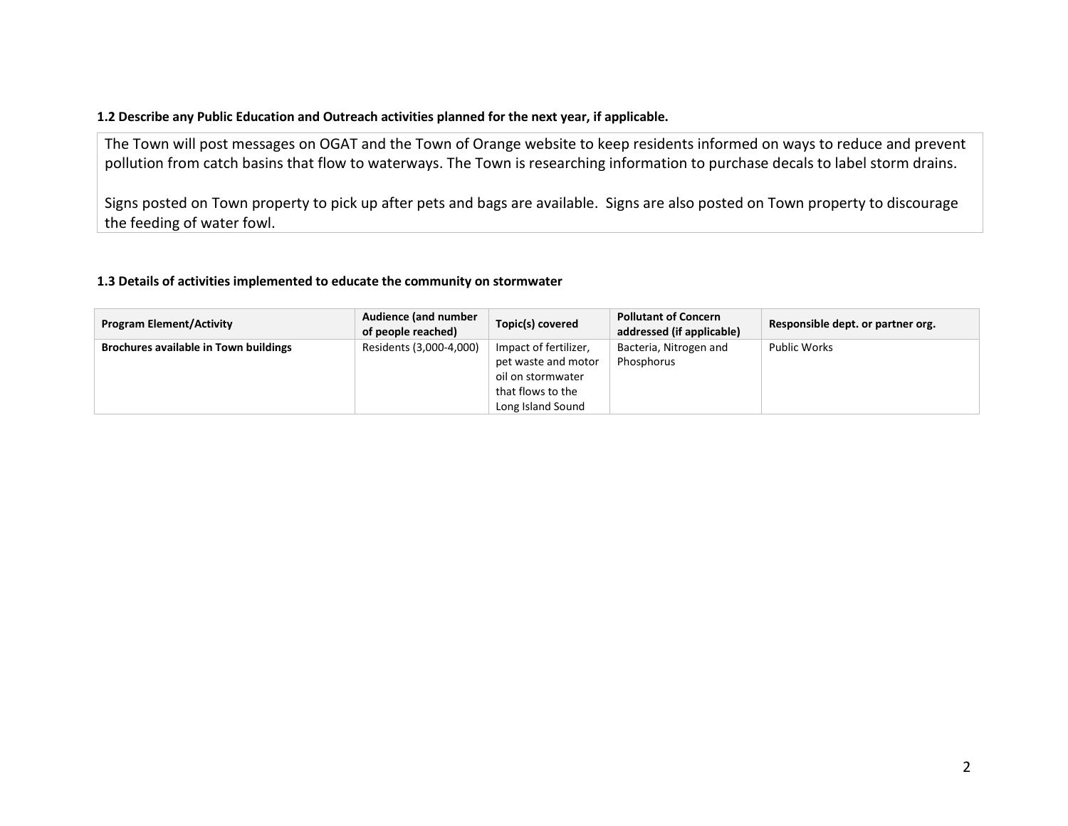## **1.2 Describe any Public Education and Outreach activities planned for the next year, if applicable.**

The Town will post messages on OGAT and the Town of Orange website to keep residents informed on ways to reduce and prevent pollution from catch basins that flow to waterways. The Town is researching information to purchase decals to label storm drains.

Signs posted on Town property to pick up after pets and bags are available. Signs are also posted on Town property to discourage the feeding of water fowl.

### **1.3 Details of activities implemented to educate the community on stormwater**

| <b>Program Element/Activity</b>              | Audience (and number<br>of people reached) | Topic(s) covered                                                                       | <b>Pollutant of Concern</b><br>addressed (if applicable) | Responsible dept. or partner org. |
|----------------------------------------------|--------------------------------------------|----------------------------------------------------------------------------------------|----------------------------------------------------------|-----------------------------------|
| <b>Brochures available in Town buildings</b> | Residents (3,000-4,000)                    | Impact of fertilizer,<br>pet waste and motor<br>oil on stormwater<br>that flows to the | Bacteria, Nitrogen and<br>Phosphorus                     | <b>Public Works</b>               |
|                                              |                                            | Long Island Sound                                                                      |                                                          |                                   |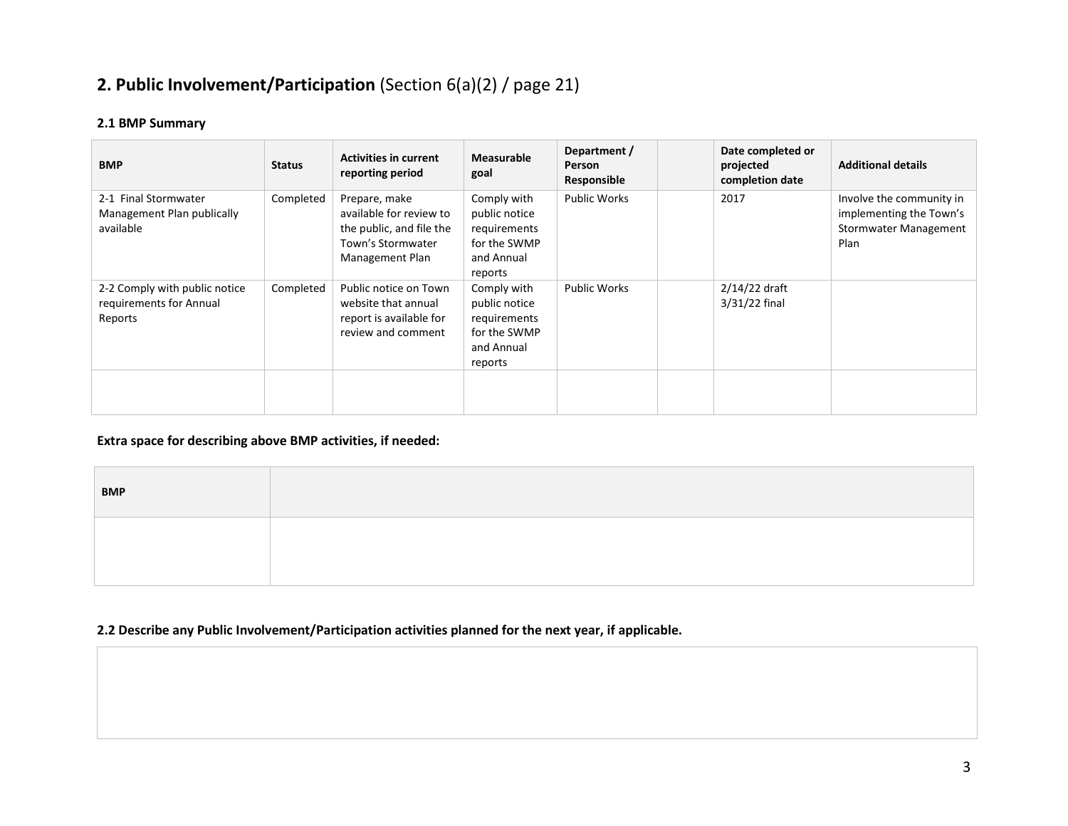# **2. Public Involvement/Participation** (Section 6(a)(2) / page 21)

## **2.1 BMP Summary**

| <b>BMP</b>                                                          | <b>Status</b> | <b>Activities in current</b><br>reporting period                                                             | <b>Measurable</b><br>goal                                                             | Department /<br>Person<br>Responsible | Date completed or<br>projected<br>completion date | <b>Additional details</b>                                                                   |
|---------------------------------------------------------------------|---------------|--------------------------------------------------------------------------------------------------------------|---------------------------------------------------------------------------------------|---------------------------------------|---------------------------------------------------|---------------------------------------------------------------------------------------------|
| 2-1 Final Stormwater<br>Management Plan publically<br>available     | Completed     | Prepare, make<br>available for review to<br>the public, and file the<br>Town's Stormwater<br>Management Plan | Comply with<br>public notice<br>requirements<br>for the SWMP<br>and Annual<br>reports | <b>Public Works</b>                   | 2017                                              | Involve the community in<br>implementing the Town's<br><b>Stormwater Management</b><br>Plan |
| 2-2 Comply with public notice<br>requirements for Annual<br>Reports | Completed     | Public notice on Town<br>website that annual<br>report is available for<br>review and comment                | Comply with<br>public notice<br>requirements<br>for the SWMP<br>and Annual<br>reports | <b>Public Works</b>                   | 2/14/22 draft<br>3/31/22 final                    |                                                                                             |
|                                                                     |               |                                                                                                              |                                                                                       |                                       |                                                   |                                                                                             |

## **Extra space for describing above BMP activities, if needed:**

| <b>BMP</b> |  |
|------------|--|
|            |  |
|            |  |

## **2.2 Describe any Public Involvement/Participation activities planned for the next year, if applicable.**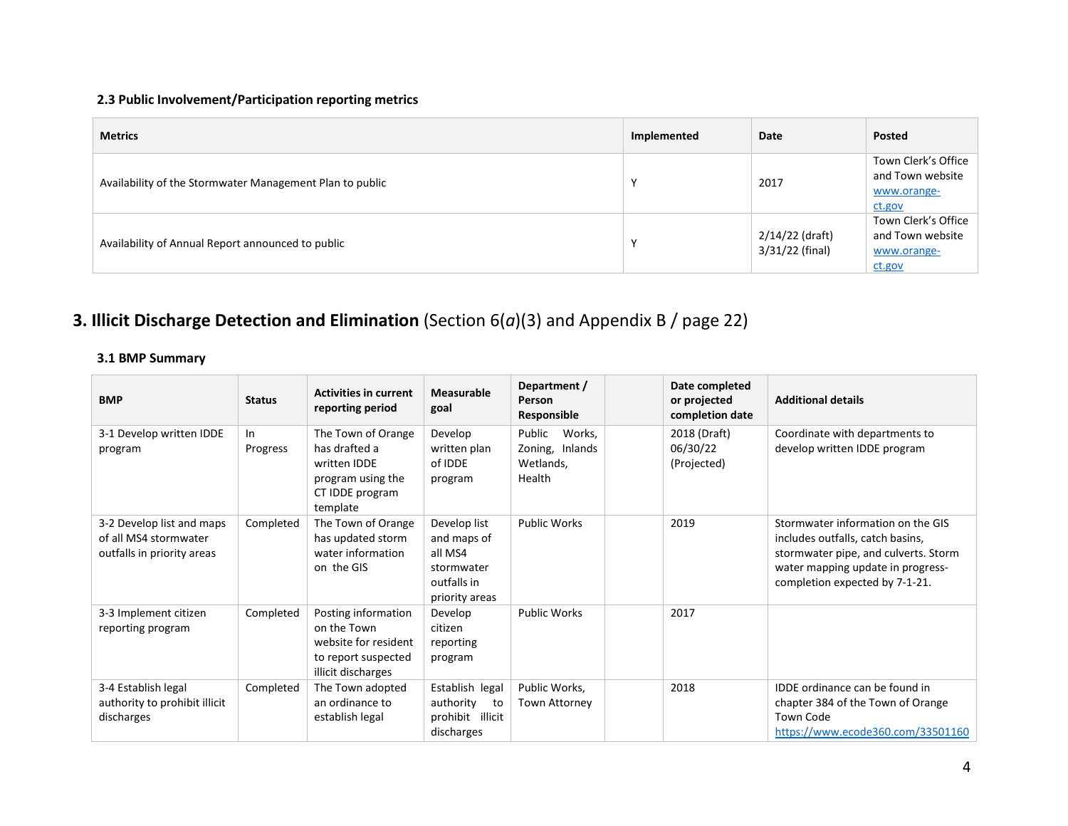# **2.3 Public Involvement/Participation reporting metrics**

| <b>Metrics</b>                                           | Implemented | Date                               | Posted                                                           |
|----------------------------------------------------------|-------------|------------------------------------|------------------------------------------------------------------|
| Availability of the Stormwater Management Plan to public |             | 2017                               | Town Clerk's Office<br>and Town website<br>www.orange-<br>ct.gov |
| Availability of Annual Report announced to public        |             | 2/14/22 (draft)<br>3/31/22 (final) | Town Clerk's Office<br>and Town website<br>www.orange-<br>ct.gov |

# **3. Illicit Discharge Detection and Elimination** (Section 6(*a*)(3) and Appendix B / page 22)

| <b>BMP</b>                                                                       | <b>Status</b>  | <b>Activities in current</b><br>reporting period                                                        | Measurable<br>goal                                                                    | Department /<br>Person<br>Responsible                      | Date completed<br>or projected<br>completion date | <b>Additional details</b>                                                                                                                                                            |
|----------------------------------------------------------------------------------|----------------|---------------------------------------------------------------------------------------------------------|---------------------------------------------------------------------------------------|------------------------------------------------------------|---------------------------------------------------|--------------------------------------------------------------------------------------------------------------------------------------------------------------------------------------|
| 3-1 Develop written IDDE<br>program                                              | In<br>Progress | The Town of Orange<br>has drafted a<br>written IDDE<br>program using the<br>CT IDDE program<br>template | Develop<br>written plan<br>of IDDE<br>program                                         | Public<br>Works,<br>Zoning, Inlands<br>Wetlands,<br>Health | 2018 (Draft)<br>06/30/22<br>(Projected)           | Coordinate with departments to<br>develop written IDDE program                                                                                                                       |
| 3-2 Develop list and maps<br>of all MS4 stormwater<br>outfalls in priority areas | Completed      | The Town of Orange<br>has updated storm<br>water information<br>on the GIS                              | Develop list<br>and maps of<br>all MS4<br>stormwater<br>outfalls in<br>priority areas | <b>Public Works</b>                                        | 2019                                              | Stormwater information on the GIS<br>includes outfalls, catch basins,<br>stormwater pipe, and culverts. Storm<br>water mapping update in progress-<br>completion expected by 7-1-21. |
| 3-3 Implement citizen<br>reporting program                                       | Completed      | Posting information<br>on the Town<br>website for resident<br>to report suspected<br>illicit discharges | Develop<br>citizen<br>reporting<br>program                                            | <b>Public Works</b>                                        | 2017                                              |                                                                                                                                                                                      |
| 3-4 Establish legal<br>authority to prohibit illicit<br>discharges               | Completed      | The Town adopted<br>an ordinance to<br>establish legal                                                  | Establish legal<br>authority<br>to<br>prohibit<br>illicit<br>discharges               | Public Works,<br>Town Attorney                             | 2018                                              | IDDE ordinance can be found in<br>chapter 384 of the Town of Orange<br><b>Town Code</b><br>https://www.ecode360.com/33501160                                                         |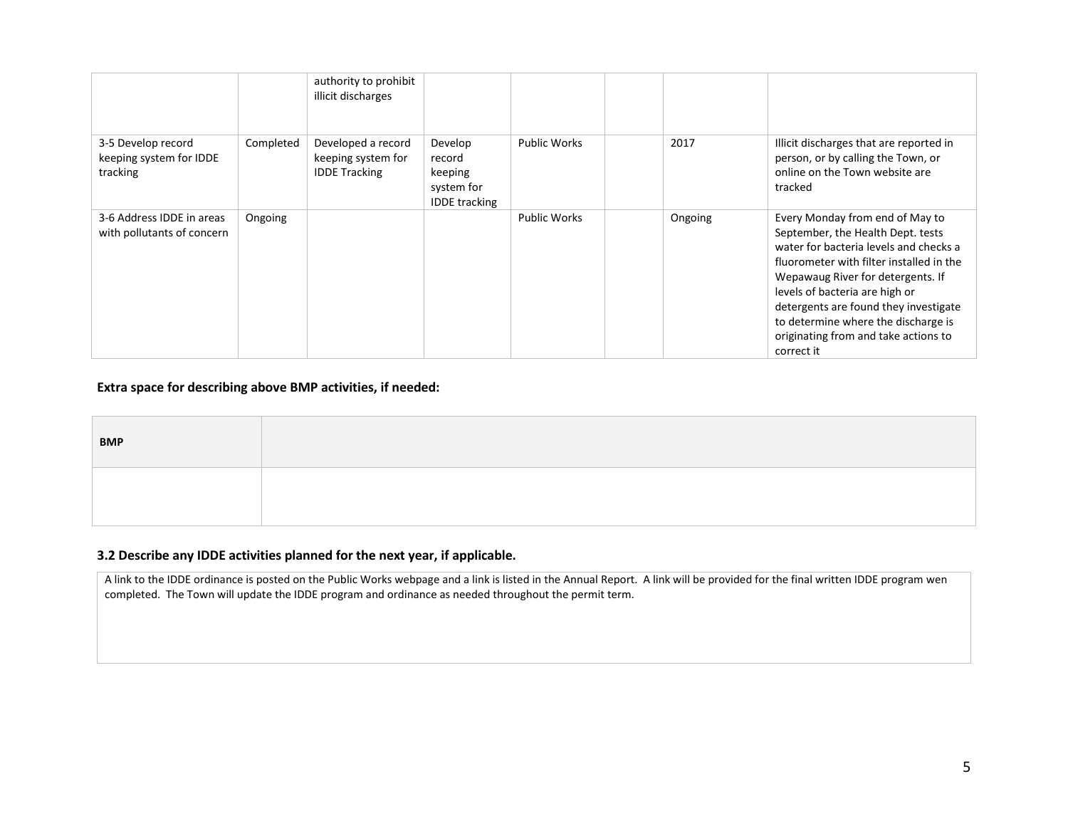|                                                           |           | authority to prohibit<br>illicit discharges                      |                                                                    |                     |         |                                                                                                                                                                                                                                                                                                                                                                         |
|-----------------------------------------------------------|-----------|------------------------------------------------------------------|--------------------------------------------------------------------|---------------------|---------|-------------------------------------------------------------------------------------------------------------------------------------------------------------------------------------------------------------------------------------------------------------------------------------------------------------------------------------------------------------------------|
| 3-5 Develop record<br>keeping system for IDDE<br>tracking | Completed | Developed a record<br>keeping system for<br><b>IDDE Tracking</b> | Develop<br>record<br>keeping<br>system for<br><b>IDDE</b> tracking | <b>Public Works</b> | 2017    | Illicit discharges that are reported in<br>person, or by calling the Town, or<br>online on the Town website are<br>tracked                                                                                                                                                                                                                                              |
| 3-6 Address IDDE in areas<br>with pollutants of concern   | Ongoing   |                                                                  |                                                                    | <b>Public Works</b> | Ongoing | Every Monday from end of May to<br>September, the Health Dept. tests<br>water for bacteria levels and checks a<br>fluorometer with filter installed in the<br>Wepawaug River for detergents. If<br>levels of bacteria are high or<br>detergents are found they investigate<br>to determine where the discharge is<br>originating from and take actions to<br>correct it |

## **Extra space for describing above BMP activities, if needed:**

| <b>BMP</b> |  |
|------------|--|
|            |  |

### **3.2 Describe any IDDE activities planned for the next year, if applicable.**

A link to the IDDE ordinance is posted on the Public Works webpage and a link is listed in the Annual Report. A link will be provided for the final written IDDE program wen completed. The Town will update the IDDE program and ordinance as needed throughout the permit term.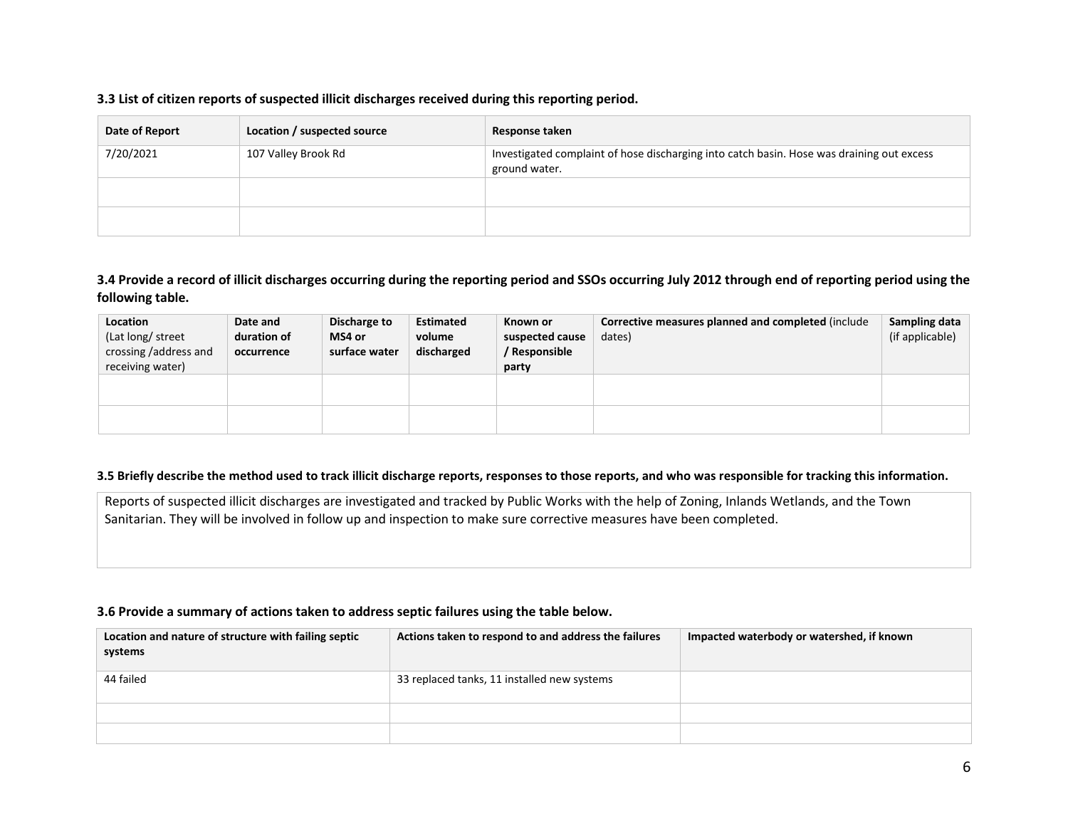#### **3.3 List of citizen reports of suspected illicit discharges received during this reporting period.**

| Date of Report | Location / suspected source | Response taken                                                                                             |
|----------------|-----------------------------|------------------------------------------------------------------------------------------------------------|
| 7/20/2021      | 107 Valley Brook Rd         | Investigated complaint of hose discharging into catch basin. Hose was draining out excess<br>ground water. |
|                |                             |                                                                                                            |
|                |                             |                                                                                                            |

## **3.4 Provide a record of illicit discharges occurring during the reporting period and SSOs occurring July 2012 through end of reporting period using the following table.**

| Location<br>(Lat long/ street<br>crossing /address and<br>receiving water) | Date and<br>duration of<br>occurrence | Discharge to<br>MS4 or<br>surface water | <b>Estimated</b><br>volume<br>discharged | Known or<br>suspected cause<br>/ Responsible<br>party | Corrective measures planned and completed (include<br>dates) | Sampling data<br>(if applicable) |
|----------------------------------------------------------------------------|---------------------------------------|-----------------------------------------|------------------------------------------|-------------------------------------------------------|--------------------------------------------------------------|----------------------------------|
|                                                                            |                                       |                                         |                                          |                                                       |                                                              |                                  |

#### **3.5 Briefly describe the method used to track illicit discharge reports, responses to those reports, and who was responsible for tracking this information.**

Reports of suspected illicit discharges are investigated and tracked by Public Works with the help of Zoning, Inlands Wetlands, and the Town Sanitarian. They will be involved in follow up and inspection to make sure corrective measures have been completed.

#### **3.6 Provide a summary of actions taken to address septic failures using the table below.**

| Location and nature of structure with failing septic<br>systems | Actions taken to respond to and address the failures | Impacted waterbody or watershed, if known |
|-----------------------------------------------------------------|------------------------------------------------------|-------------------------------------------|
| 44 failed                                                       | 33 replaced tanks, 11 installed new systems          |                                           |
|                                                                 |                                                      |                                           |
|                                                                 |                                                      |                                           |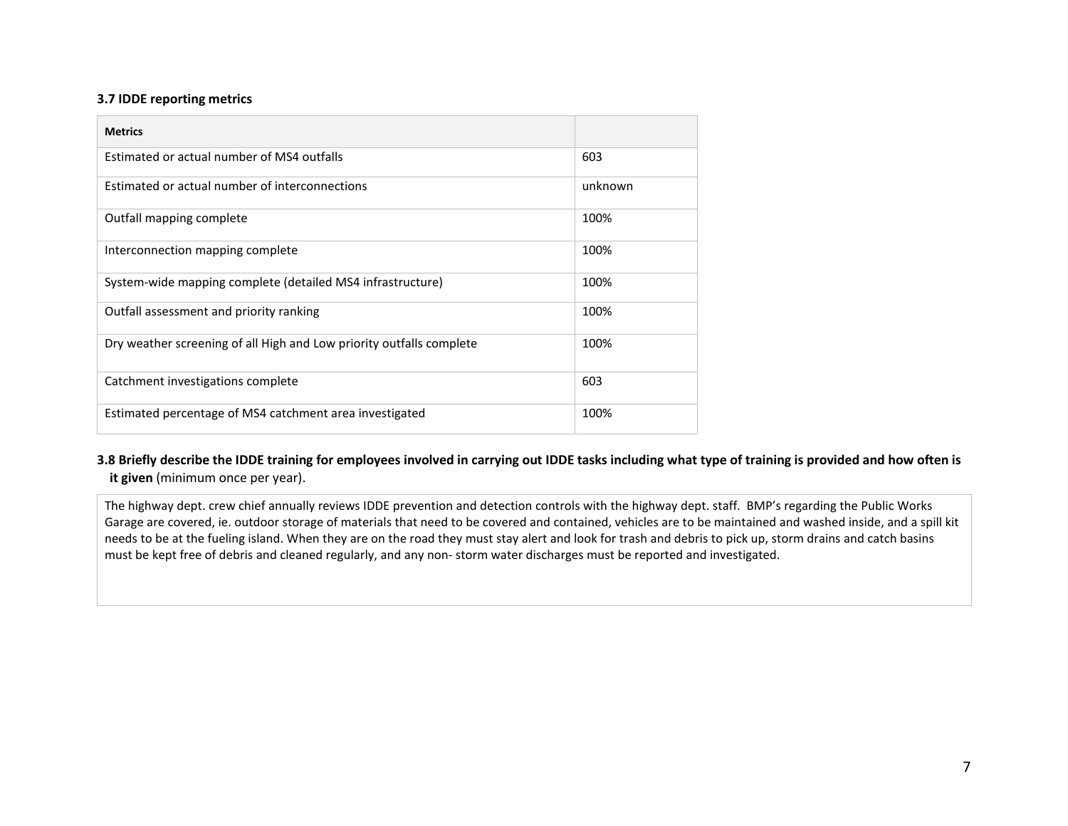#### **3.7 IDDE reporting metrics**

| <b>Metrics</b>                                                       |         |
|----------------------------------------------------------------------|---------|
| Estimated or actual number of MS4 outfalls                           | 603     |
| Estimated or actual number of interconnections                       | unknown |
| Outfall mapping complete                                             | 100%    |
| Interconnection mapping complete                                     | 100%    |
| System-wide mapping complete (detailed MS4 infrastructure)           | 100%    |
| Outfall assessment and priority ranking                              | 100%    |
| Dry weather screening of all High and Low priority outfalls complete | 100%    |
| Catchment investigations complete                                    | 603     |
| Estimated percentage of MS4 catchment area investigated              | 100%    |

### **3.8 Briefly describe the IDDE training for employees involved in carrying out IDDE tasks including what type of training is provided and how often is it given** (minimum once per year).

The highway dept. crew chief annually reviews IDDE prevention and detection controls with the highway dept. staff. BMP's regarding the Public Works Garage are covered, ie. outdoor storage of materials that need to be covered and contained, vehicles are to be maintained and washed inside, and a spill kit needs to be at the fueling island. When they are on the road they must stay alert and look for trash and debris to pick up, storm drains and catch basins must be kept free of debris and cleaned regularly, and any non- storm water discharges must be reported and investigated.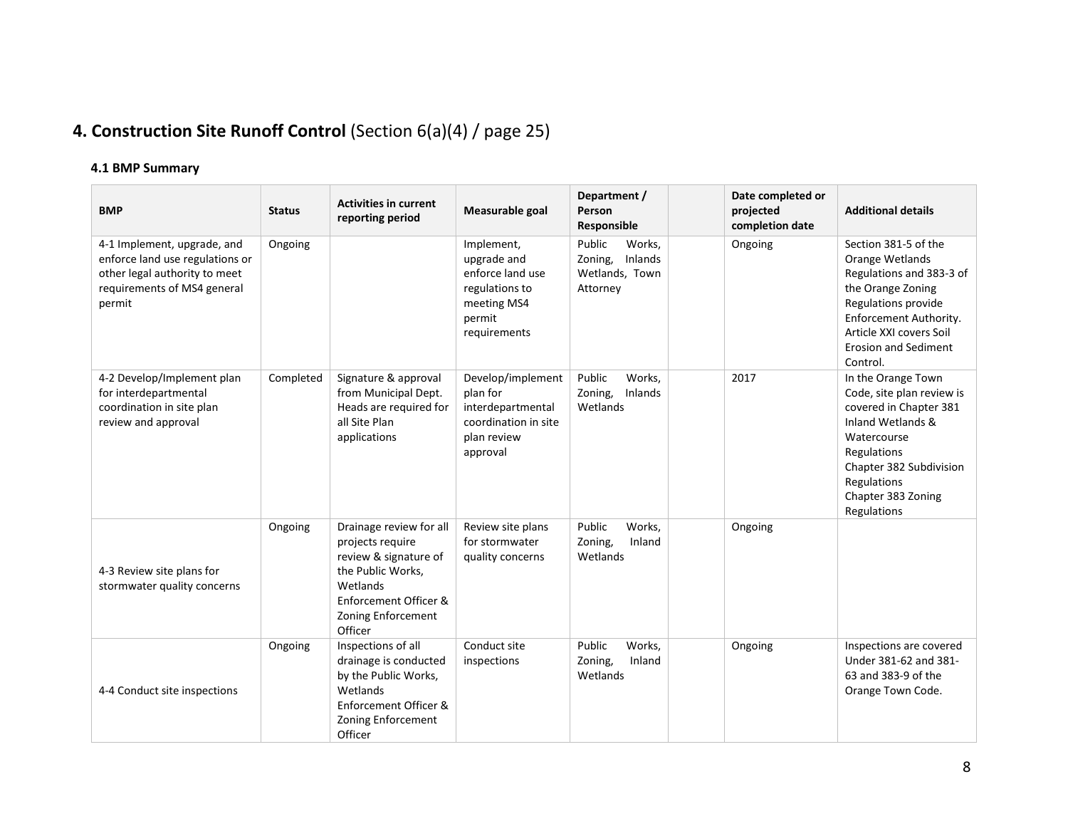# **4. Construction Site Runoff Control** (Section 6(a)(4) / page 25)

| <b>BMP</b>                                                                                                                               | <b>Status</b> | <b>Activities in current</b><br>reporting period                                                                                                                | Measurable goal                                                                                          | Department /<br>Person<br>Responsible                                | Date completed or<br>projected<br>completion date | <b>Additional details</b>                                                                                                                                                                                       |
|------------------------------------------------------------------------------------------------------------------------------------------|---------------|-----------------------------------------------------------------------------------------------------------------------------------------------------------------|----------------------------------------------------------------------------------------------------------|----------------------------------------------------------------------|---------------------------------------------------|-----------------------------------------------------------------------------------------------------------------------------------------------------------------------------------------------------------------|
| 4-1 Implement, upgrade, and<br>enforce land use regulations or<br>other legal authority to meet<br>requirements of MS4 general<br>permit | Ongoing       |                                                                                                                                                                 | Implement,<br>upgrade and<br>enforce land use<br>regulations to<br>meeting MS4<br>permit<br>requirements | Public<br>Works.<br>Zoning,<br>Inlands<br>Wetlands, Town<br>Attorney | Ongoing                                           | Section 381-5 of the<br>Orange Wetlands<br>Regulations and 383-3 of<br>the Orange Zoning<br>Regulations provide<br>Enforcement Authority.<br>Article XXI covers Soil<br><b>Erosion and Sediment</b><br>Control. |
| 4-2 Develop/Implement plan<br>for interdepartmental<br>coordination in site plan<br>review and approval                                  | Completed     | Signature & approval<br>from Municipal Dept.<br>Heads are required for<br>all Site Plan<br>applications                                                         | Develop/implement<br>plan for<br>interdepartmental<br>coordination in site<br>plan review<br>approval    | Public<br>Works,<br>Zoning,<br>Inlands<br>Wetlands                   | 2017                                              | In the Orange Town<br>Code, site plan review is<br>covered in Chapter 381<br>Inland Wetlands &<br>Watercourse<br>Regulations<br>Chapter 382 Subdivision<br>Regulations<br>Chapter 383 Zoning<br>Regulations     |
| 4-3 Review site plans for<br>stormwater quality concerns                                                                                 | Ongoing       | Drainage review for all<br>projects require<br>review & signature of<br>the Public Works,<br>Wetlands<br>Enforcement Officer &<br>Zoning Enforcement<br>Officer | Review site plans<br>for stormwater<br>quality concerns                                                  | Public<br>Works,<br>Zoning,<br>Inland<br>Wetlands                    | Ongoing                                           |                                                                                                                                                                                                                 |
| 4-4 Conduct site inspections                                                                                                             | Ongoing       | Inspections of all<br>drainage is conducted<br>by the Public Works,<br>Wetlands<br>Enforcement Officer &<br>Zoning Enforcement<br>Officer                       | Conduct site<br>inspections                                                                              | Public<br>Works,<br>Zoning,<br>Inland<br>Wetlands                    | Ongoing                                           | Inspections are covered<br>Under 381-62 and 381-<br>63 and 383-9 of the<br>Orange Town Code.                                                                                                                    |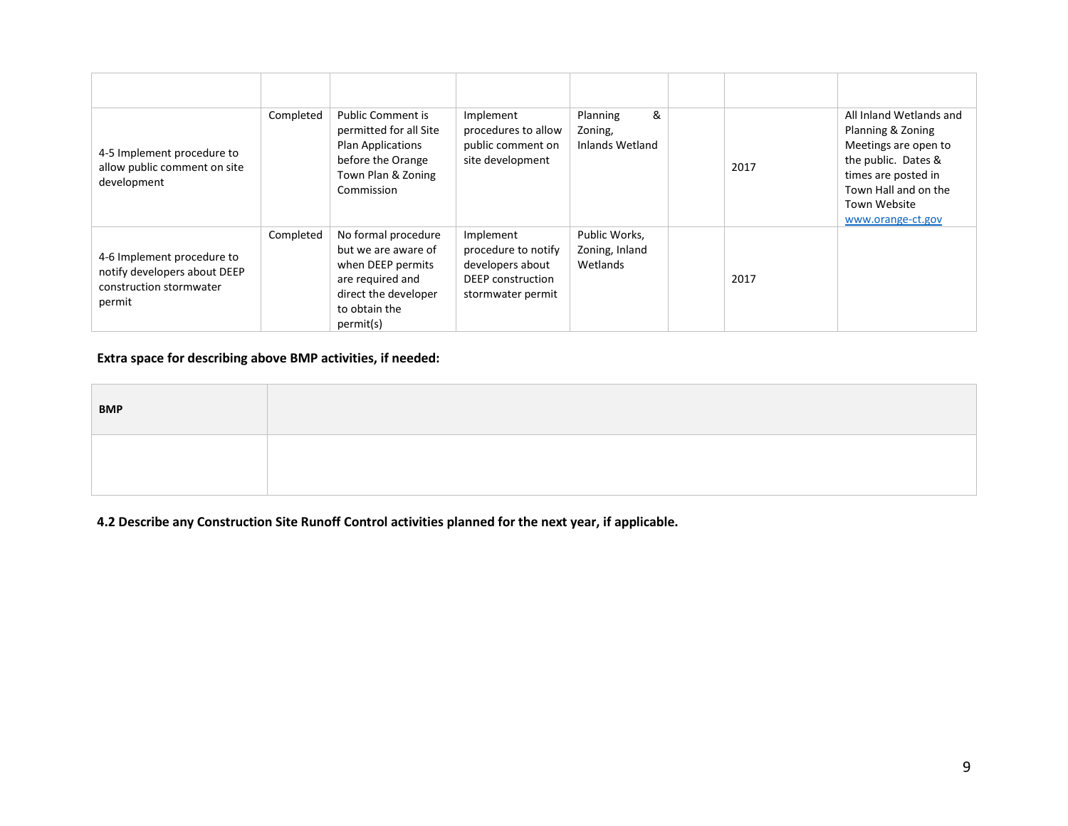| 4-5 Implement procedure to<br>allow public comment on site<br>development                       | Completed | <b>Public Comment is</b><br>permitted for all Site<br><b>Plan Applications</b><br>before the Orange<br>Town Plan & Zoning<br>Commission   | Implement<br>procedures to allow<br>public comment on<br>site development                             | &<br>Planning<br>Zoning,<br>Inlands Wetland | 2017 | All Inland Wetlands and<br>Planning & Zoning<br>Meetings are open to<br>the public. Dates &<br>times are posted in<br>Town Hall and on the<br>Town Website<br>www.orange-ct.gov |
|-------------------------------------------------------------------------------------------------|-----------|-------------------------------------------------------------------------------------------------------------------------------------------|-------------------------------------------------------------------------------------------------------|---------------------------------------------|------|---------------------------------------------------------------------------------------------------------------------------------------------------------------------------------|
| 4-6 Implement procedure to<br>notify developers about DEEP<br>construction stormwater<br>permit | Completed | No formal procedure<br>but we are aware of<br>when DEEP permits<br>are required and<br>direct the developer<br>to obtain the<br>permit(s) | Implement<br>procedure to notify<br>developers about<br><b>DEEP</b> construction<br>stormwater permit | Public Works,<br>Zoning, Inland<br>Wetlands | 2017 |                                                                                                                                                                                 |

## **Extra space for describing above BMP activities, if needed:**

| <b>BMP</b> |  |
|------------|--|
|            |  |

**4.2 Describe any Construction Site Runoff Control activities planned for the next year, if applicable.**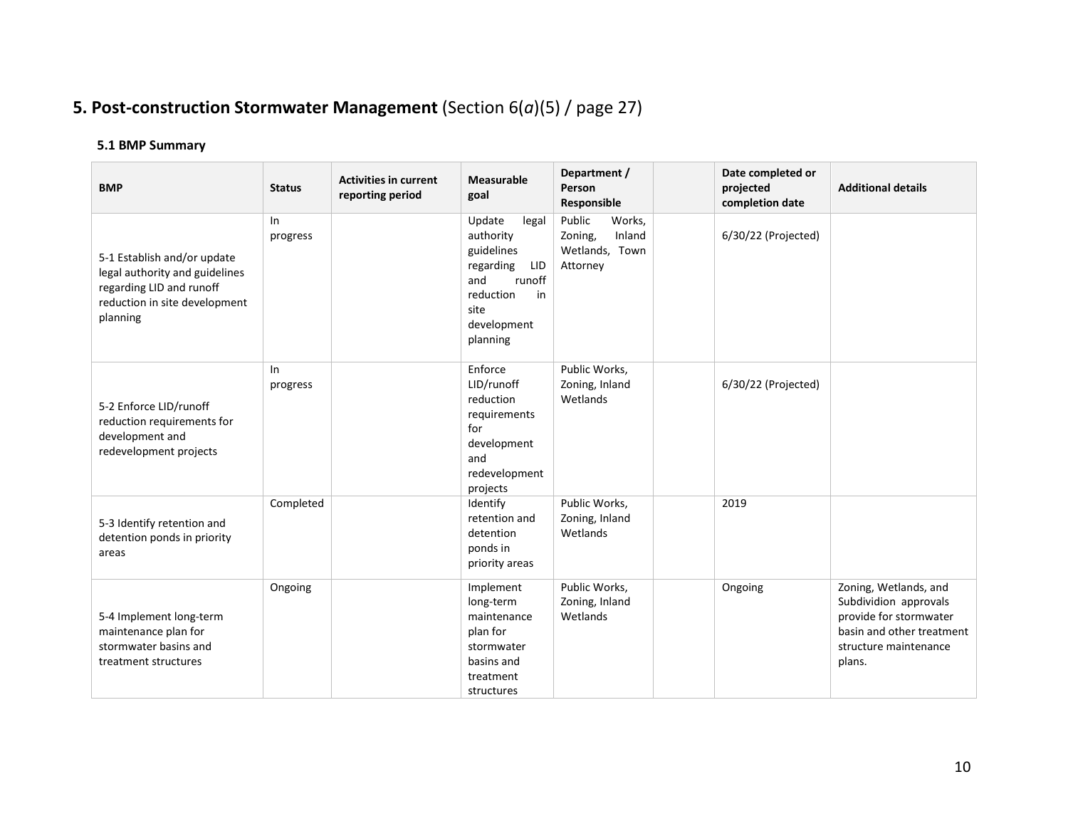# **5. Post-construction Stormwater Management** (Section 6(*a*)(5) / page 27)

| <b>BMP</b>                                                                                                                             | <b>Status</b>  | <b>Activities in current</b><br>reporting period | <b>Measurable</b><br>goal                                                                                                             | Department /<br>Person<br>Responsible                               | Date completed or<br>projected<br>completion date | <b>Additional details</b>                                                                                                                |
|----------------------------------------------------------------------------------------------------------------------------------------|----------------|--------------------------------------------------|---------------------------------------------------------------------------------------------------------------------------------------|---------------------------------------------------------------------|---------------------------------------------------|------------------------------------------------------------------------------------------------------------------------------------------|
| 5-1 Establish and/or update<br>legal authority and guidelines<br>regarding LID and runoff<br>reduction in site development<br>planning | In<br>progress |                                                  | Update<br>legal<br>authority<br>guidelines<br>regarding<br>LID<br>and<br>runoff<br>reduction<br>in<br>site<br>development<br>planning | Public<br>Works,<br>Inland<br>Zoning,<br>Wetlands, Town<br>Attorney | 6/30/22 (Projected)                               |                                                                                                                                          |
| 5-2 Enforce LID/runoff<br>reduction requirements for<br>development and<br>redevelopment projects                                      | In<br>progress |                                                  | Enforce<br>LID/runoff<br>reduction<br>requirements<br>for<br>development<br>and<br>redevelopment<br>projects                          | Public Works,<br>Zoning, Inland<br>Wetlands                         | 6/30/22 (Projected)                               |                                                                                                                                          |
| 5-3 Identify retention and<br>detention ponds in priority<br>areas                                                                     | Completed      |                                                  | Identify<br>retention and<br>detention<br>ponds in<br>priority areas                                                                  | Public Works,<br>Zoning, Inland<br>Wetlands                         | 2019                                              |                                                                                                                                          |
| 5-4 Implement long-term<br>maintenance plan for<br>stormwater basins and<br>treatment structures                                       | Ongoing        |                                                  | Implement<br>long-term<br>maintenance<br>plan for<br>stormwater<br>basins and<br>treatment<br>structures                              | Public Works,<br>Zoning, Inland<br>Wetlands                         | Ongoing                                           | Zoning, Wetlands, and<br>Subdividion approvals<br>provide for stormwater<br>basin and other treatment<br>structure maintenance<br>plans. |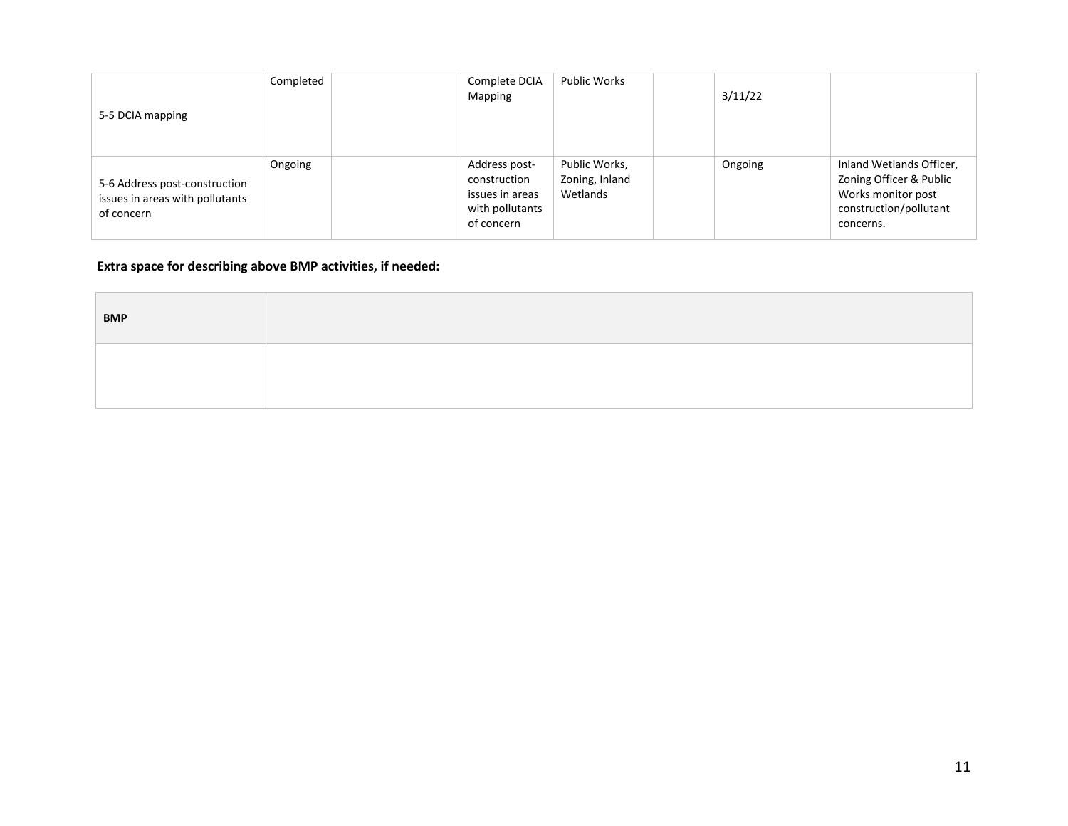| 5-5 DCIA mapping                                                               | Completed | Complete DCIA<br>Mapping                                                          | <b>Public Works</b>                         | 3/11/22 |                                                                                                                  |
|--------------------------------------------------------------------------------|-----------|-----------------------------------------------------------------------------------|---------------------------------------------|---------|------------------------------------------------------------------------------------------------------------------|
| 5-6 Address post-construction<br>issues in areas with pollutants<br>of concern | Ongoing   | Address post-<br>construction<br>issues in areas<br>with pollutants<br>of concern | Public Works,<br>Zoning, Inland<br>Wetlands | Ongoing | Inland Wetlands Officer,<br>Zoning Officer & Public<br>Works monitor post<br>construction/pollutant<br>concerns. |

# **Extra space for describing above BMP activities, if needed:**

| <b>BMP</b> |  |
|------------|--|
|            |  |
|            |  |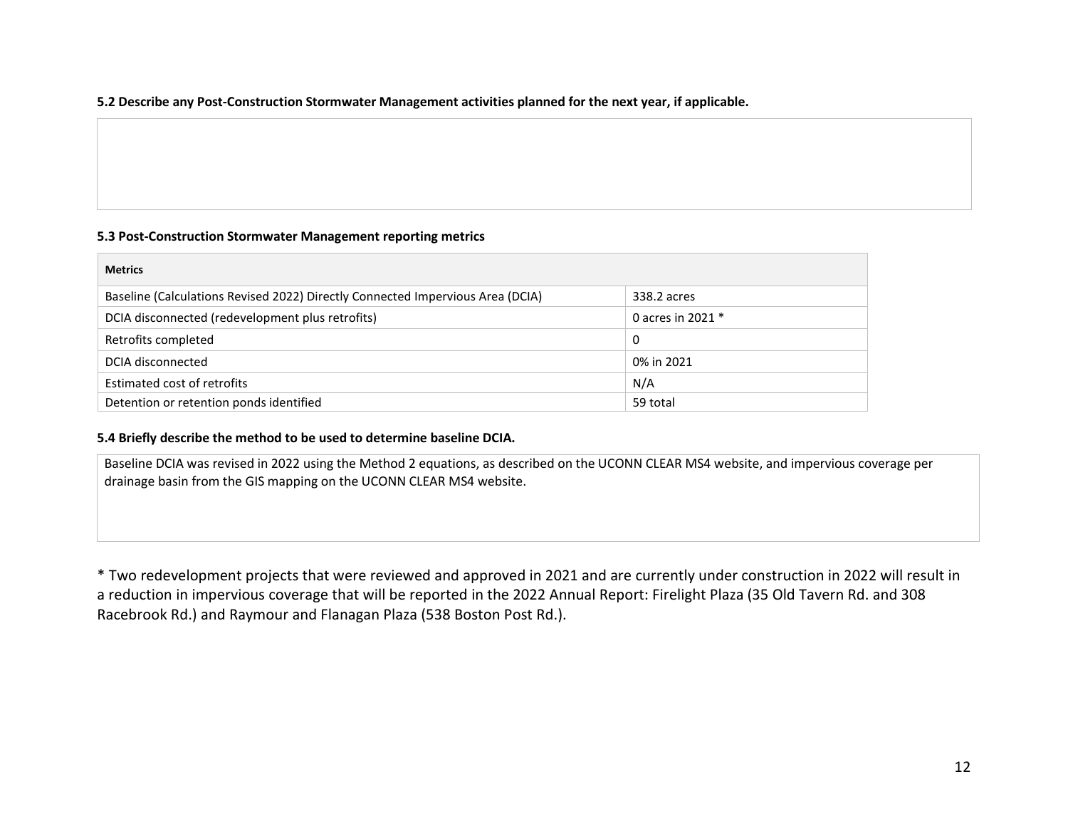### **5.2 Describe any Post-Construction Stormwater Management activities planned for the next year, if applicable.**

### **5.3 Post-Construction Stormwater Management reporting metrics**

| <b>Metrics</b>                                                                 |                   |
|--------------------------------------------------------------------------------|-------------------|
| Baseline (Calculations Revised 2022) Directly Connected Impervious Area (DCIA) | 338.2 acres       |
| DCIA disconnected (redevelopment plus retrofits)                               | 0 acres in 2021 * |
| Retrofits completed                                                            | 0                 |
| DCIA disconnected                                                              | 0% in 2021        |
| Estimated cost of retrofits                                                    | N/A               |
| Detention or retention ponds identified                                        | 59 total          |

### **5.4 Briefly describe the method to be used to determine baseline DCIA.**

Baseline DCIA was revised in 2022 using the Method 2 equations, as described on the UCONN CLEAR MS4 website, and impervious coverage per drainage basin from the GIS mapping on the UCONN CLEAR MS4 website.

\* Two redevelopment projects that were reviewed and approved in 2021 and are currently under construction in 2022 will result in a reduction in impervious coverage that will be reported in the 2022 Annual Report: Firelight Plaza (35 Old Tavern Rd. and 308 Racebrook Rd.) and Raymour and Flanagan Plaza (538 Boston Post Rd.).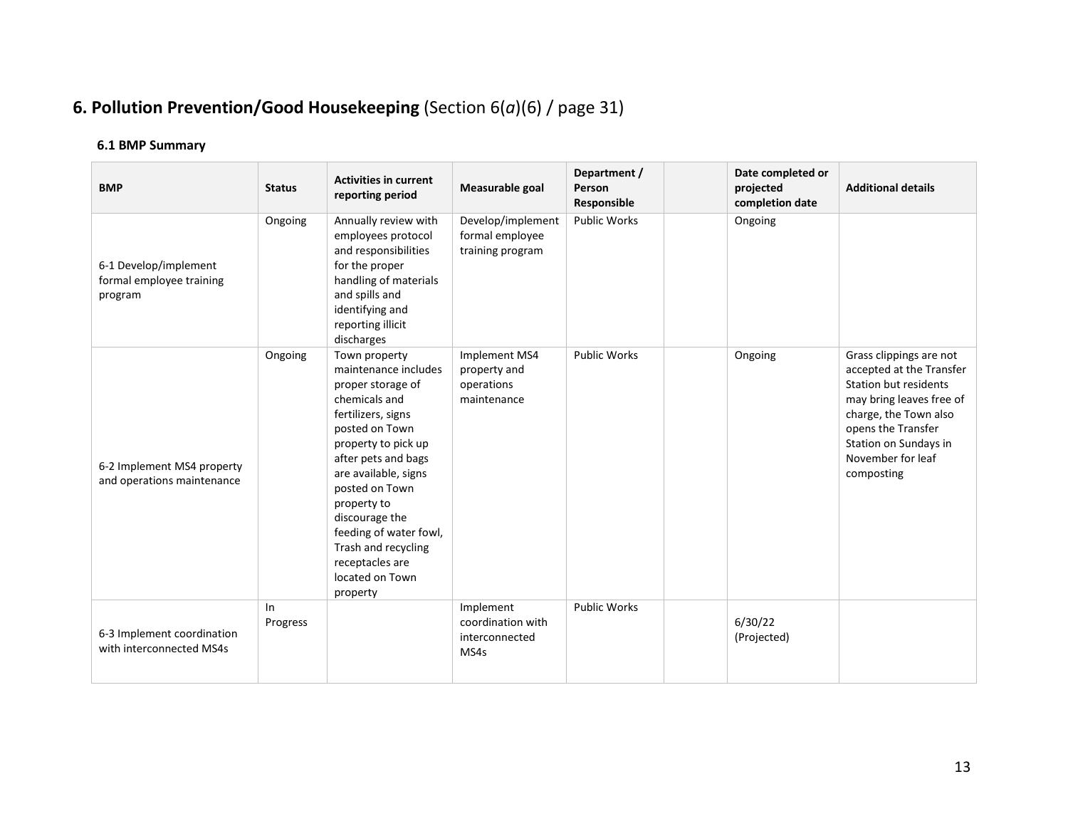# **6. Pollution Prevention/Good Housekeeping** (Section 6(*a*)(6) / page 31)

| <b>BMP</b>                                                   | <b>Status</b>  | <b>Activities in current</b><br>reporting period                                                                                                                                                                                                                                                                                                | Measurable goal                                            | Department /<br>Person<br>Responsible | Date completed or<br>projected<br>completion date | <b>Additional details</b>                                                                                                                                                                                           |
|--------------------------------------------------------------|----------------|-------------------------------------------------------------------------------------------------------------------------------------------------------------------------------------------------------------------------------------------------------------------------------------------------------------------------------------------------|------------------------------------------------------------|---------------------------------------|---------------------------------------------------|---------------------------------------------------------------------------------------------------------------------------------------------------------------------------------------------------------------------|
| 6-1 Develop/implement<br>formal employee training<br>program | Ongoing        | Annually review with<br>employees protocol<br>and responsibilities<br>for the proper<br>handling of materials<br>and spills and<br>identifying and<br>reporting illicit<br>discharges                                                                                                                                                           | Develop/implement<br>formal employee<br>training program   | <b>Public Works</b>                   | Ongoing                                           |                                                                                                                                                                                                                     |
| 6-2 Implement MS4 property<br>and operations maintenance     | Ongoing        | Town property<br>maintenance includes<br>proper storage of<br>chemicals and<br>fertilizers, signs<br>posted on Town<br>property to pick up<br>after pets and bags<br>are available, signs<br>posted on Town<br>property to<br>discourage the<br>feeding of water fowl,<br>Trash and recycling<br>receptacles are<br>located on Town<br>property | Implement MS4<br>property and<br>operations<br>maintenance | <b>Public Works</b>                   | Ongoing                                           | Grass clippings are not<br>accepted at the Transfer<br>Station but residents<br>may bring leaves free of<br>charge, the Town also<br>opens the Transfer<br>Station on Sundays in<br>November for leaf<br>composting |
| 6-3 Implement coordination<br>with interconnected MS4s       | In<br>Progress |                                                                                                                                                                                                                                                                                                                                                 | Implement<br>coordination with<br>interconnected<br>MS4s   | <b>Public Works</b>                   | 6/30/22<br>(Projected)                            |                                                                                                                                                                                                                     |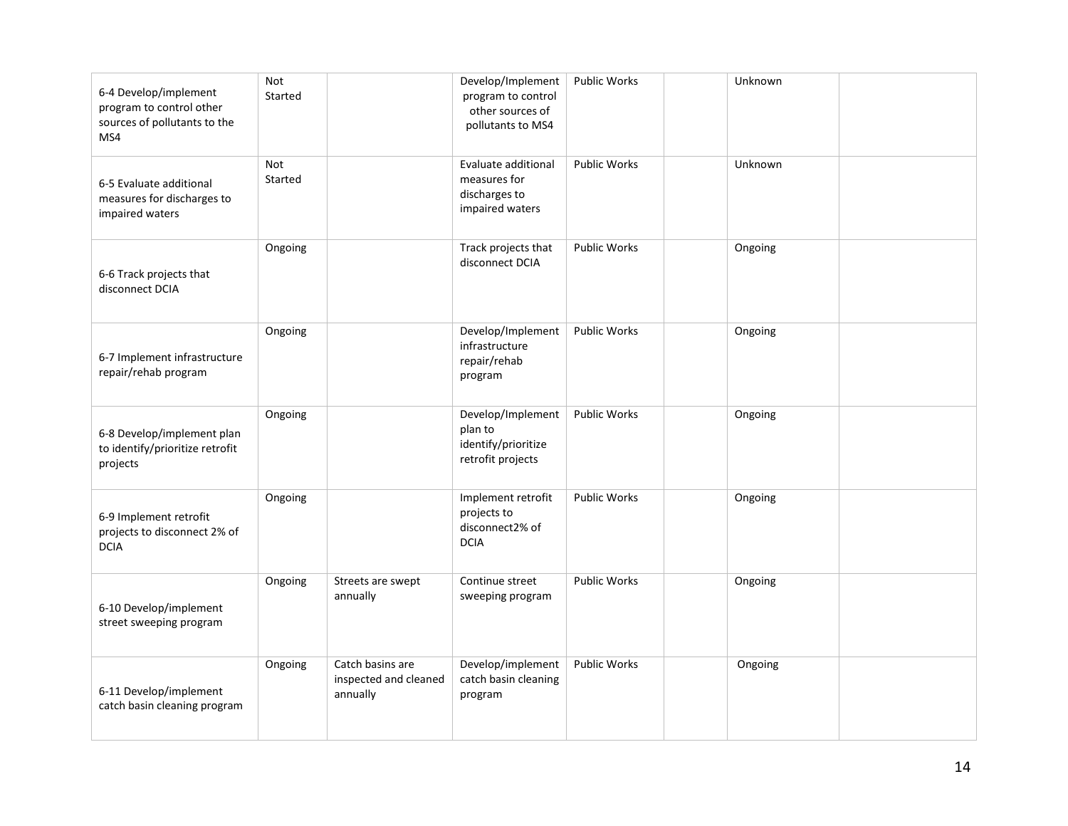| 6-4 Develop/implement<br>program to control other<br>sources of pollutants to the<br>MS4 | <b>Not</b><br>Started |                                                       | Develop/Implement<br>program to control<br>other sources of<br>pollutants to MS4 | <b>Public Works</b> | Unknown |  |
|------------------------------------------------------------------------------------------|-----------------------|-------------------------------------------------------|----------------------------------------------------------------------------------|---------------------|---------|--|
| 6-5 Evaluate additional<br>measures for discharges to<br>impaired waters                 | <b>Not</b><br>Started |                                                       | Evaluate additional<br>measures for<br>discharges to<br>impaired waters          | <b>Public Works</b> | Unknown |  |
| 6-6 Track projects that<br>disconnect DCIA                                               | Ongoing               |                                                       | Track projects that<br>disconnect DCIA                                           | <b>Public Works</b> | Ongoing |  |
| 6-7 Implement infrastructure<br>repair/rehab program                                     | Ongoing               |                                                       | Develop/Implement<br>infrastructure<br>repair/rehab<br>program                   | <b>Public Works</b> | Ongoing |  |
| 6-8 Develop/implement plan<br>to identify/prioritize retrofit<br>projects                | Ongoing               |                                                       | Develop/Implement<br>plan to<br>identify/prioritize<br>retrofit projects         | <b>Public Works</b> | Ongoing |  |
| 6-9 Implement retrofit<br>projects to disconnect 2% of<br><b>DCIA</b>                    | Ongoing               |                                                       | Implement retrofit<br>projects to<br>disconnect2% of<br><b>DCIA</b>              | <b>Public Works</b> | Ongoing |  |
| 6-10 Develop/implement<br>street sweeping program                                        | Ongoing               | Streets are swept<br>annually                         | Continue street<br>sweeping program                                              | <b>Public Works</b> | Ongoing |  |
| 6-11 Develop/implement<br>catch basin cleaning program                                   | Ongoing               | Catch basins are<br>inspected and cleaned<br>annually | Develop/implement<br>catch basin cleaning<br>program                             | <b>Public Works</b> | Ongoing |  |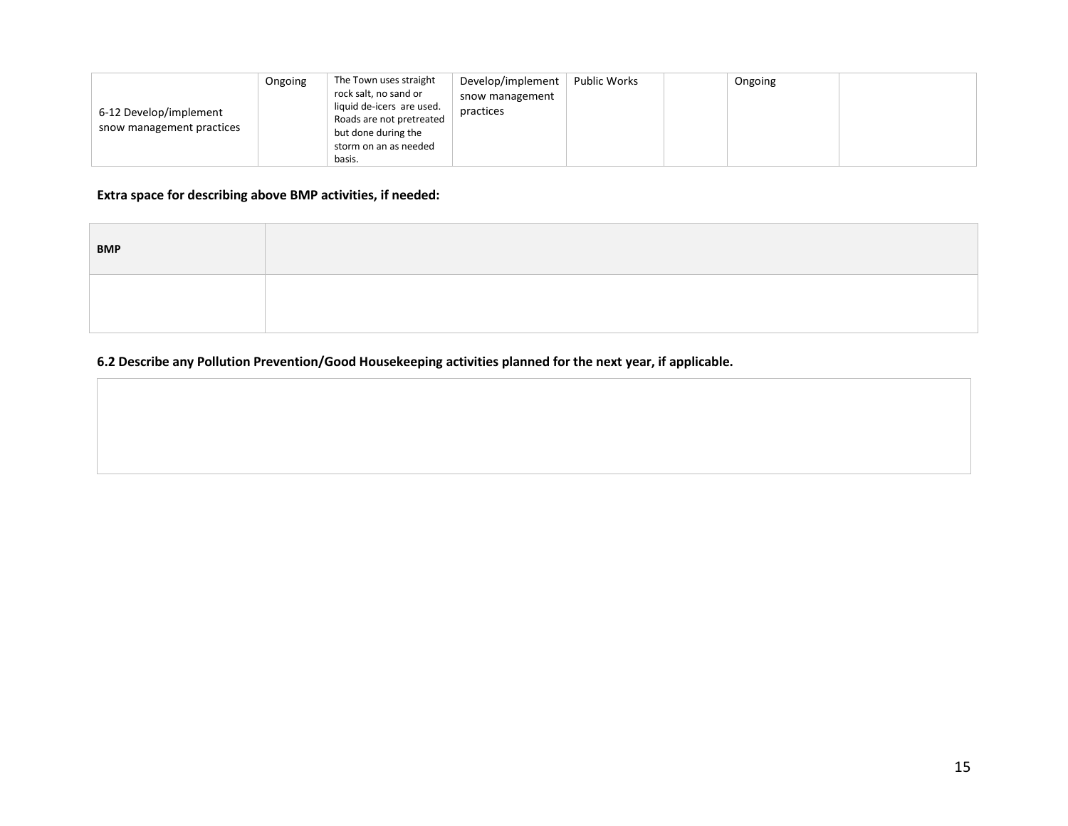|                           | Ongoing | The Town uses straight    | Develop/implement | Public Works | Ongoing |  |
|---------------------------|---------|---------------------------|-------------------|--------------|---------|--|
|                           |         | rock salt, no sand or     | snow management   |              |         |  |
| 6-12 Develop/implement    |         | liquid de-icers are used. | practices         |              |         |  |
| snow management practices |         | Roads are not pretreated  |                   |              |         |  |
|                           |         | but done during the       |                   |              |         |  |
|                           |         | storm on an as needed     |                   |              |         |  |
|                           |         | basis.                    |                   |              |         |  |

# **Extra space for describing above BMP activities, if needed:**

| <b>BMP</b> |  |
|------------|--|
|            |  |

# **6.2 Describe any Pollution Prevention/Good Housekeeping activities planned for the next year, if applicable.**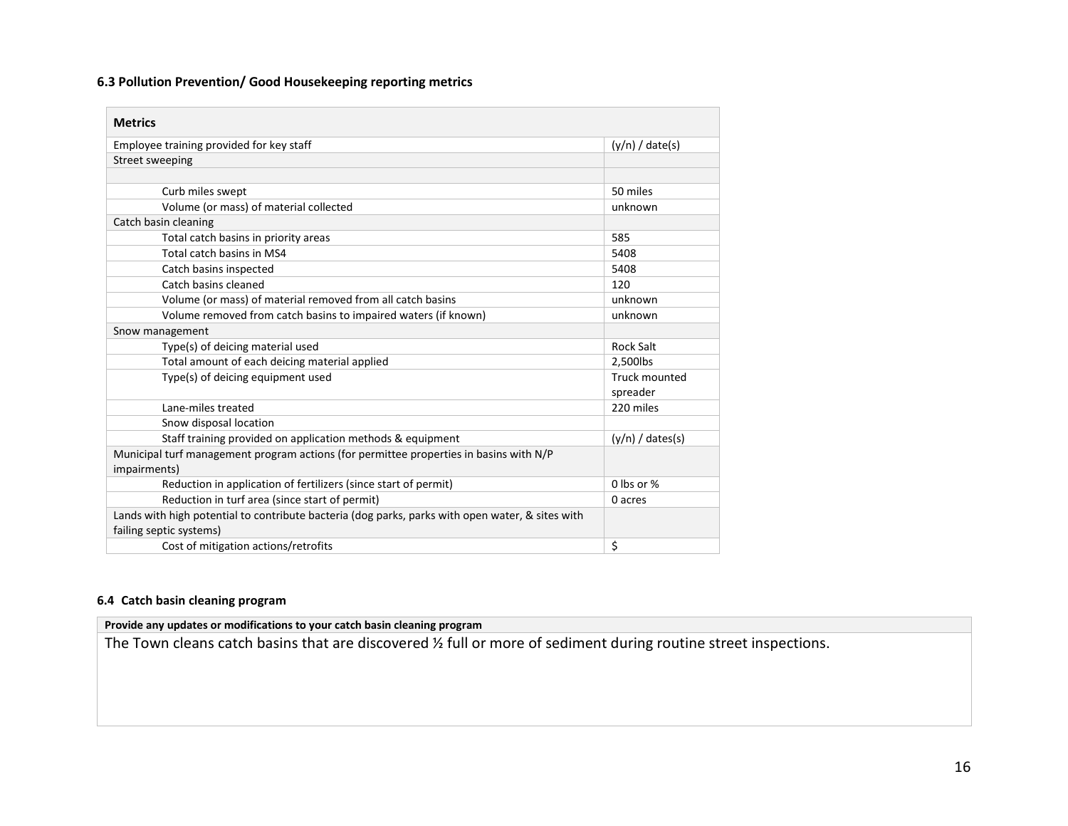### **6.3 Pollution Prevention/ Good Housekeeping reporting metrics**

| <b>Metrics</b>                                                                                                              |                           |
|-----------------------------------------------------------------------------------------------------------------------------|---------------------------|
| Employee training provided for key staff                                                                                    | $(y/n) /$ date(s)         |
| Street sweeping                                                                                                             |                           |
|                                                                                                                             |                           |
| Curb miles swept                                                                                                            | 50 miles                  |
| Volume (or mass) of material collected                                                                                      | unknown                   |
| Catch basin cleaning                                                                                                        |                           |
| Total catch basins in priority areas                                                                                        | 585                       |
| Total catch basins in MS4                                                                                                   | 5408                      |
| Catch basins inspected                                                                                                      | 5408                      |
| Catch basins cleaned                                                                                                        | 120                       |
| Volume (or mass) of material removed from all catch basins                                                                  | unknown                   |
| Volume removed from catch basins to impaired waters (if known)                                                              | unknown                   |
| Snow management                                                                                                             |                           |
| Type(s) of deicing material used                                                                                            | <b>Rock Salt</b>          |
| Total amount of each deicing material applied                                                                               | 2,500lbs                  |
| Type(s) of deicing equipment used                                                                                           | Truck mounted<br>spreader |
| Lane-miles treated                                                                                                          | 220 miles                 |
| Snow disposal location                                                                                                      |                           |
| Staff training provided on application methods & equipment                                                                  | $(y/n) /$ dates(s)        |
| Municipal turf management program actions (for permittee properties in basins with N/P<br>impairments)                      |                           |
| Reduction in application of fertilizers (since start of permit)                                                             | 0 lbs or $%$              |
| Reduction in turf area (since start of permit)                                                                              | 0 acres                   |
| Lands with high potential to contribute bacteria (dog parks, parks with open water, & sites with<br>failing septic systems) |                           |
| Cost of mitigation actions/retrofits                                                                                        | \$                        |

### **6.4 Catch basin cleaning program**

## **Provide any updates or modifications to your catch basin cleaning program**

The Town cleans catch basins that are discovered ½ full or more of sediment during routine street inspections.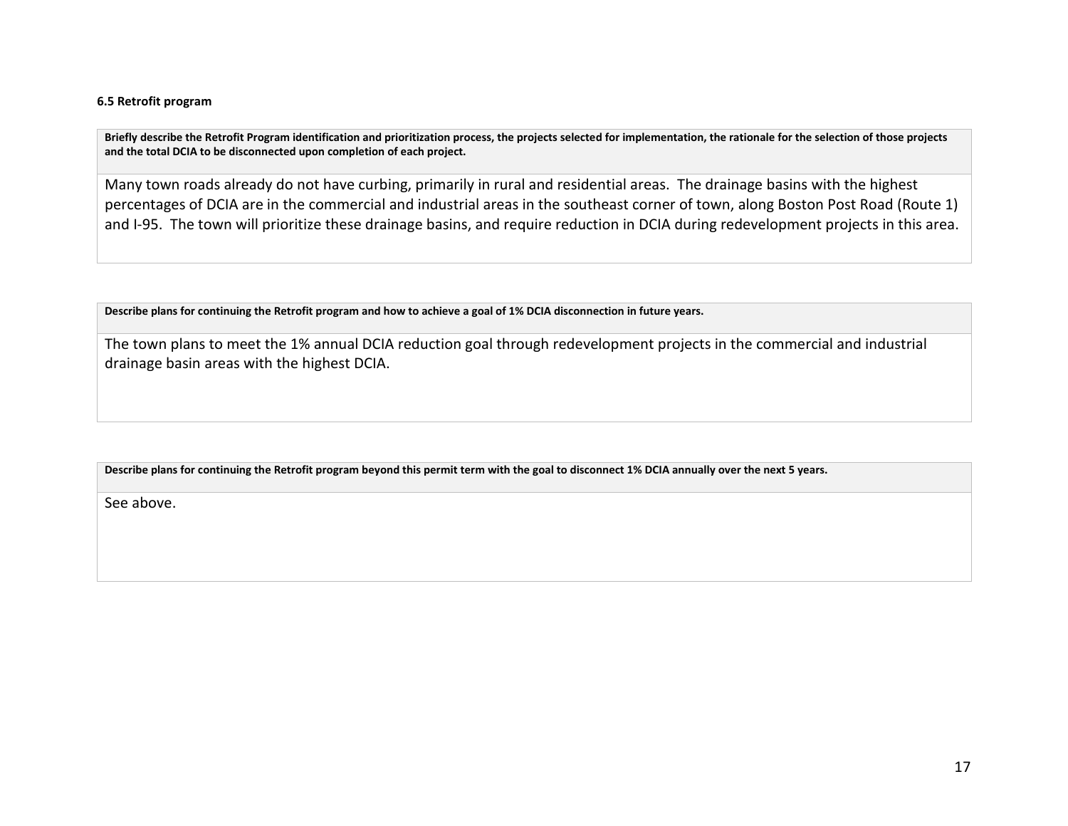#### **6.5 Retrofit program**

**Briefly describe the Retrofit Program identification and prioritization process, the projects selected for implementation, the rationale for the selection of those projects and the total DCIA to be disconnected upon completion of each project.** 

Many town roads already do not have curbing, primarily in rural and residential areas. The drainage basins with the highest percentages of DCIA are in the commercial and industrial areas in the southeast corner of town, along Boston Post Road (Route 1) and I-95. The town will prioritize these drainage basins, and require reduction in DCIA during redevelopment projects in this area.

**Describe plans for continuing the Retrofit program and how to achieve a goal of 1% DCIA disconnection in future years.** 

The town plans to meet the 1% annual DCIA reduction goal through redevelopment projects in the commercial and industrial drainage basin areas with the highest DCIA.

#### **Describe plans for continuing the Retrofit program beyond this permit term with the goal to disconnect 1% DCIA annually over the next 5 years.**

See above.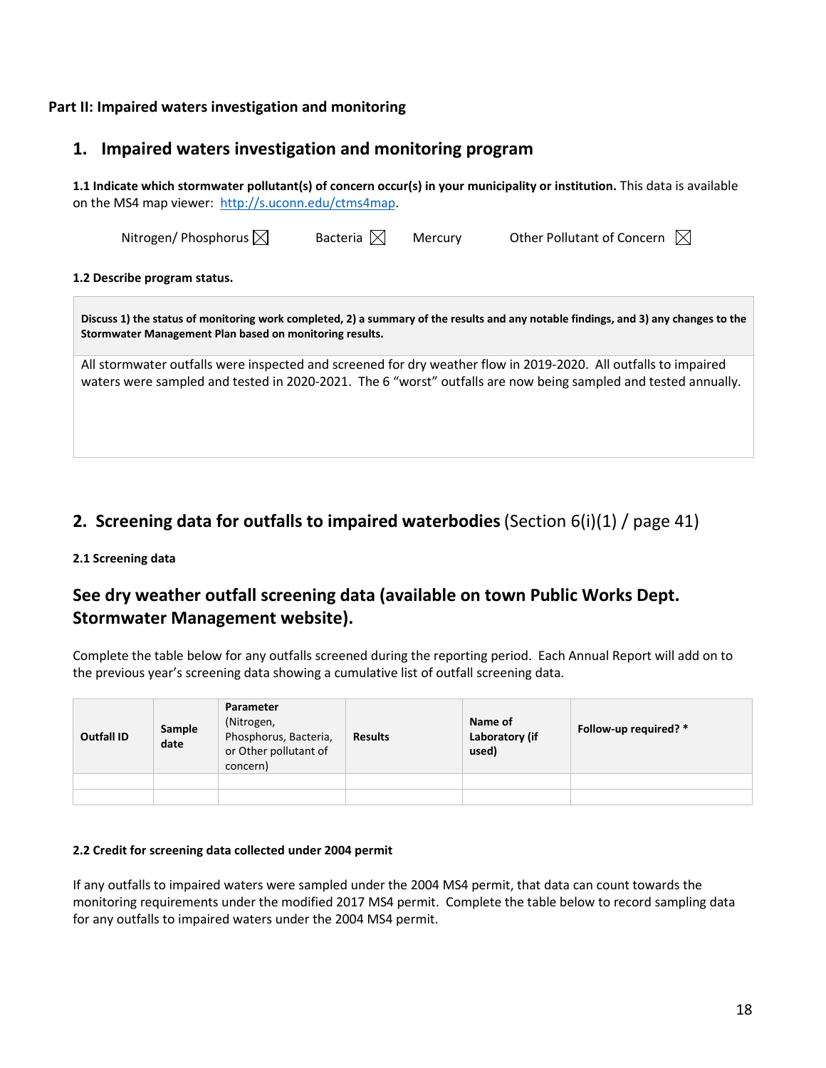## **Part II: Impaired waters investigation and monitoring**

# **1. Impaired waters investigation and monitoring program**

**1.1 Indicate which stormwater pollutant(s) of concern occur(s) in your municipality or institution.** This data is available on the MS4 map viewer: [http://s.uconn.edu/ctms4map.](http://www.nemo.uconn.edu/ms4)

| Nitrogen/Phosphorus $\boxtimes$                                                                                                                                                                                                   | Bacteria $\boxtimes$ | Mercury | Other Pollutant of Concern $\boxtimes$ |  |  |  |  |  |  |  |
|-----------------------------------------------------------------------------------------------------------------------------------------------------------------------------------------------------------------------------------|----------------------|---------|----------------------------------------|--|--|--|--|--|--|--|
| 1.2 Describe program status.                                                                                                                                                                                                      |                      |         |                                        |  |  |  |  |  |  |  |
| Discuss 1) the status of monitoring work completed, 2) a summary of the results and any notable findings, and 3) any changes to the<br>Stormwater Management Plan based on monitoring results.                                    |                      |         |                                        |  |  |  |  |  |  |  |
| All stormwater outfalls were inspected and screened for dry weather flow in 2019-2020. All outfalls to impaired<br>waters were sampled and tested in 2020-2021. The 6 "worst" outfalls are now being sampled and tested annually. |                      |         |                                        |  |  |  |  |  |  |  |

# **2. Screening data for outfalls to impaired waterbodies**(Section 6(i)(1) / page 41)

### **2.1 Screening data**

# **See dry weather outfall screening data (available on town Public Works Dept. Stormwater Management website).**

Complete the table below for any outfalls screened during the reporting period. Each Annual Report will add on to the previous year's screening data showing a cumulative list of outfall screening data.

| <b>Outfall ID</b> | Sample<br>date | Parameter<br>(Nitrogen,<br>Phosphorus, Bacteria,<br>or Other pollutant of<br>concern) | <b>Results</b> | Name of<br>Laboratory (if<br>used) | Follow-up required? * |
|-------------------|----------------|---------------------------------------------------------------------------------------|----------------|------------------------------------|-----------------------|
|                   |                |                                                                                       |                |                                    |                       |
|                   |                |                                                                                       |                |                                    |                       |

#### **2.2 Credit for screening data collected under 2004 permit**

If any outfalls to impaired waters were sampled under the 2004 MS4 permit, that data can count towards the monitoring requirements under the modified 2017 MS4 permit. Complete the table below to record sampling data for any outfalls to impaired waters under the 2004 MS4 permit.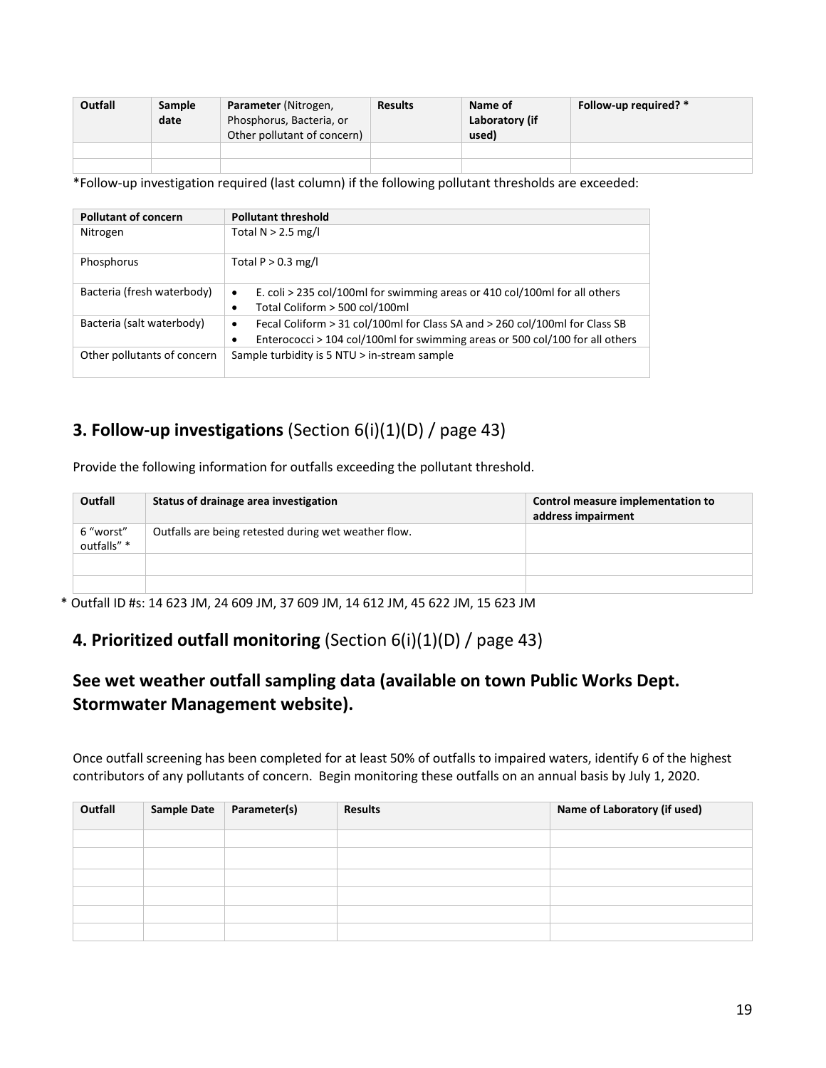| Outfall | Sample<br>date | Parameter (Nitrogen,<br>Phosphorus, Bacteria, or<br>Other pollutant of concern) | <b>Results</b> | Name of<br>Laboratory (if<br>used) | Follow-up required? * |
|---------|----------------|---------------------------------------------------------------------------------|----------------|------------------------------------|-----------------------|
|         |                |                                                                                 |                |                                    |                       |
|         |                |                                                                                 |                |                                    |                       |

\*Follow-up investigation required (last column) if the following pollutant thresholds are exceeded:

| <b>Pollutant of concern</b> | <b>Pollutant threshold</b>                                                                                                                                       |  |  |  |
|-----------------------------|------------------------------------------------------------------------------------------------------------------------------------------------------------------|--|--|--|
|                             |                                                                                                                                                                  |  |  |  |
| Nitrogen                    | Total $N > 2.5$ mg/l                                                                                                                                             |  |  |  |
| Phosphorus                  | Total $P > 0.3$ mg/l                                                                                                                                             |  |  |  |
| Bacteria (fresh waterbody)  | E. coli > 235 col/100ml for swimming areas or 410 col/100ml for all others<br>٠                                                                                  |  |  |  |
|                             | Total Coliform > 500 col/100ml                                                                                                                                   |  |  |  |
| Bacteria (salt waterbody)   | Fecal Coliform > 31 col/100ml for Class SA and > 260 col/100ml for Class SB<br>٠<br>Enterococci > 104 col/100ml for swimming areas or 500 col/100 for all others |  |  |  |
| Other pollutants of concern | Sample turbidity is 5 NTU > in-stream sample                                                                                                                     |  |  |  |

# **3. Follow-up investigations** (Section 6(i)(1)(D) / page 43)

Provide the following information for outfalls exceeding the pollutant threshold.

| Outfall                  | Status of drainage area investigation                | Control measure implementation to<br>address impairment |
|--------------------------|------------------------------------------------------|---------------------------------------------------------|
| 6 "worst"<br>outfalls" * | Outfalls are being retested during wet weather flow. |                                                         |
|                          |                                                      |                                                         |
|                          |                                                      |                                                         |

\* Outfall ID #s: 14 623 JM, 24 609 JM, 37 609 JM, 14 612 JM, 45 622 JM, 15 623 JM

# **4. Prioritized outfall monitoring** (Section 6(i)(1)(D) / page 43)

# **See wet weather outfall sampling data (available on town Public Works Dept. Stormwater Management website).**

Once outfall screening has been completed for at least 50% of outfalls to impaired waters, identify 6 of the highest contributors of any pollutants of concern. Begin monitoring these outfalls on an annual basis by July 1, 2020.

| Outfall | <b>Sample Date</b> | Parameter(s) | <b>Results</b> | Name of Laboratory (if used) |
|---------|--------------------|--------------|----------------|------------------------------|
|         |                    |              |                |                              |
|         |                    |              |                |                              |
|         |                    |              |                |                              |
|         |                    |              |                |                              |
|         |                    |              |                |                              |
|         |                    |              |                |                              |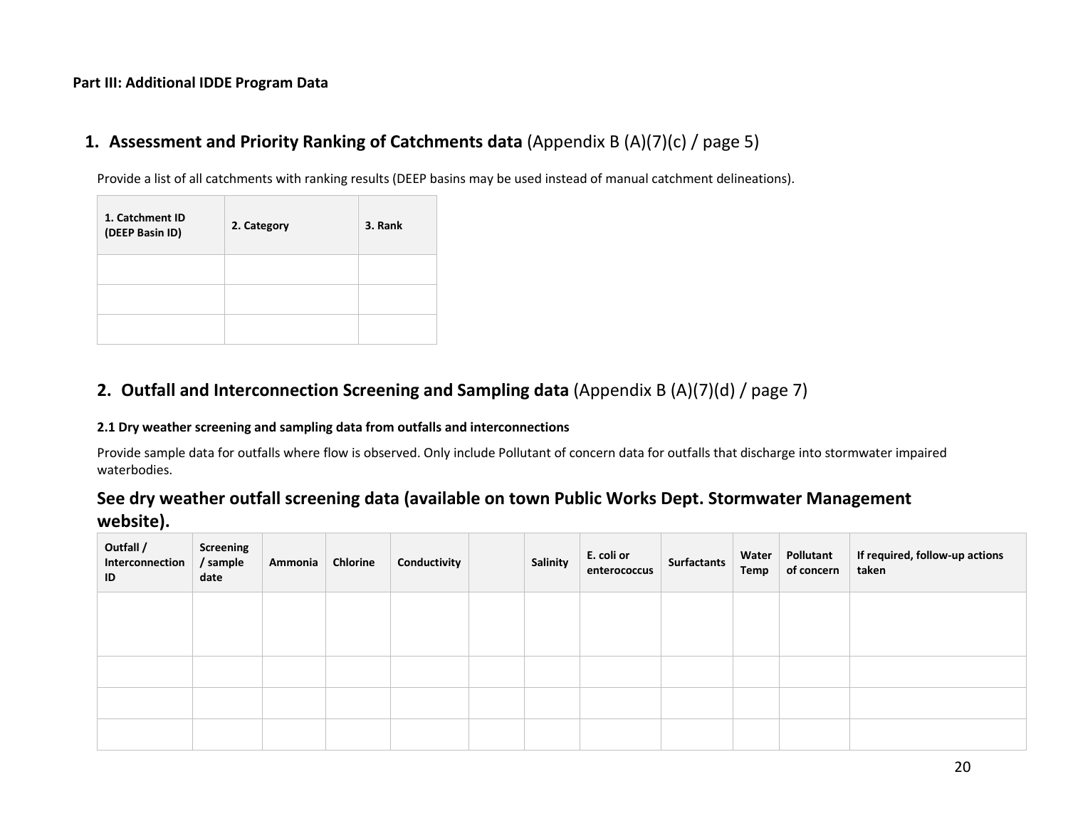## **Part III: Additional IDDE Program Data**

# **1. Assessment and Priority Ranking of Catchments data** (Appendix B (A)(7)(c) / page 5)

Provide a list of all catchments with ranking results (DEEP basins may be used instead of manual catchment delineations).

| 1. Catchment ID<br>(DEEP Basin ID) | 2. Category | 3. Rank |
|------------------------------------|-------------|---------|
|                                    |             |         |
|                                    |             |         |
|                                    |             |         |

# **2. Outfall and Interconnection Screening and Sampling data** (Appendix B (A)(7)(d) / page 7)

### **2.1 Dry weather screening and sampling data from outfalls and interconnections**

Provide sample data for outfalls where flow is observed. Only include Pollutant of concern data for outfalls that discharge into stormwater impaired waterbodies.

# **See dry weather outfall screening data (available on town Public Works Dept. Stormwater Management website).**

| Outfall /<br>Interconnection<br>ID | Screening<br>/ sample<br>date | Ammonia | Chlorine | Conductivity | Salinity | E. coli or<br>enterococcus | Surfactants | Water  <br>Temp | Pollutant<br>of concern | If required, follow-up actions<br>taken |
|------------------------------------|-------------------------------|---------|----------|--------------|----------|----------------------------|-------------|-----------------|-------------------------|-----------------------------------------|
|                                    |                               |         |          |              |          |                            |             |                 |                         |                                         |
|                                    |                               |         |          |              |          |                            |             |                 |                         |                                         |
|                                    |                               |         |          |              |          |                            |             |                 |                         |                                         |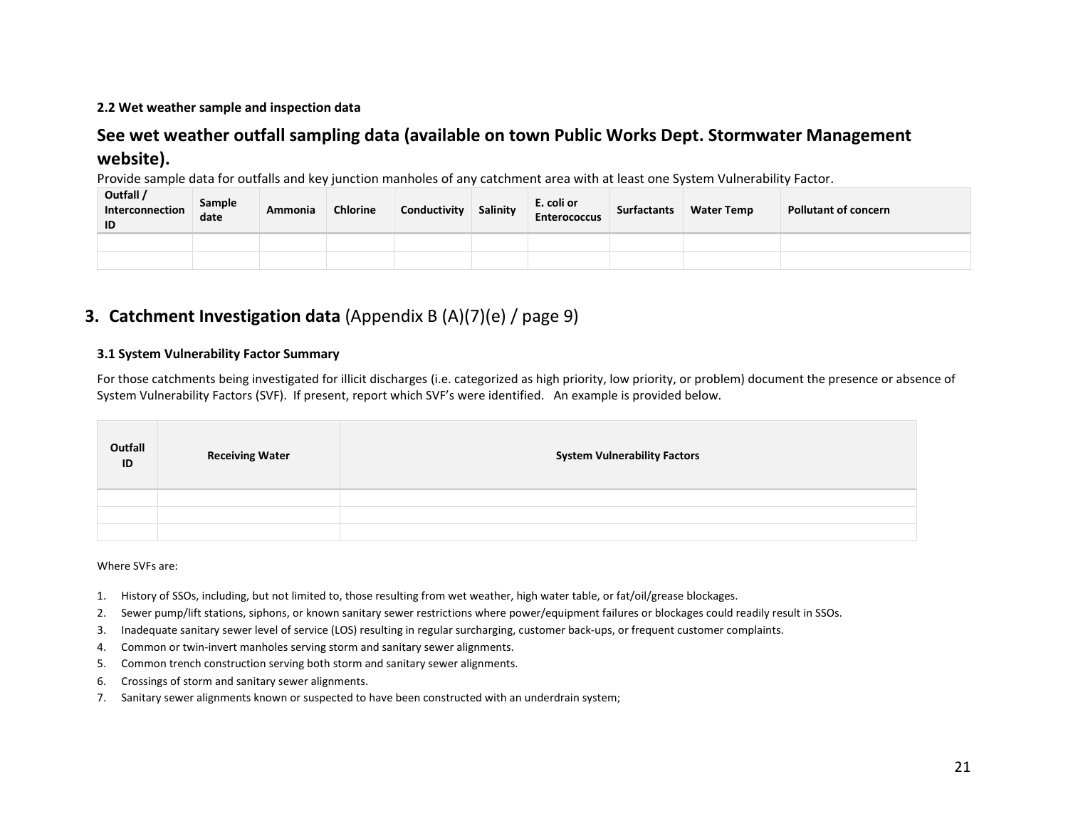### **2.2 Wet weather sample and inspection data**

# **See wet weather outfall sampling data (available on town Public Works Dept. Stormwater Management website).**

Provide sample data for outfalls and key junction manholes of any catchment area with at least one System Vulnerability Factor.

| Outfall /<br>Interconnection<br>ID | <b>Sample</b><br>date | Ammonia | <b>Chlorine</b> | Conductivity | Salinity | E. coli or<br><b>Enterococcus</b> | <b>Surfactants</b> | <b>Water Temp</b> | <b>Pollutant of concern</b> |
|------------------------------------|-----------------------|---------|-----------------|--------------|----------|-----------------------------------|--------------------|-------------------|-----------------------------|
|                                    |                       |         |                 |              |          |                                   |                    |                   |                             |
|                                    |                       |         |                 |              |          |                                   |                    |                   |                             |

# **3. Catchment Investigation data** (Appendix B (A)(7)(e) / page 9)

### **3.1 System Vulnerability Factor Summary**

For those catchments being investigated for illicit discharges (i.e. categorized as high priority, low priority, or problem) document the presence or absence of System Vulnerability Factors (SVF). If present, report which SVF's were identified. An example is provided below.

| Outfall<br>ID | <b>Receiving Water</b> | <b>System Vulnerability Factors</b> |
|---------------|------------------------|-------------------------------------|
|               |                        |                                     |
|               |                        |                                     |
|               |                        |                                     |

Where SVFs are:

- 1. History of SSOs, including, but not limited to, those resulting from wet weather, high water table, or fat/oil/grease blockages.
- 2. Sewer pump/lift stations, siphons, or known sanitary sewer restrictions where power/equipment failures or blockages could readily result in SSOs.
- 3. Inadequate sanitary sewer level of service (LOS) resulting in regular surcharging, customer back-ups, or frequent customer complaints.
- 4. Common or twin-invert manholes serving storm and sanitary sewer alignments.
- 5. Common trench construction serving both storm and sanitary sewer alignments.
- 6. Crossings of storm and sanitary sewer alignments.
- 7. Sanitary sewer alignments known or suspected to have been constructed with an underdrain system;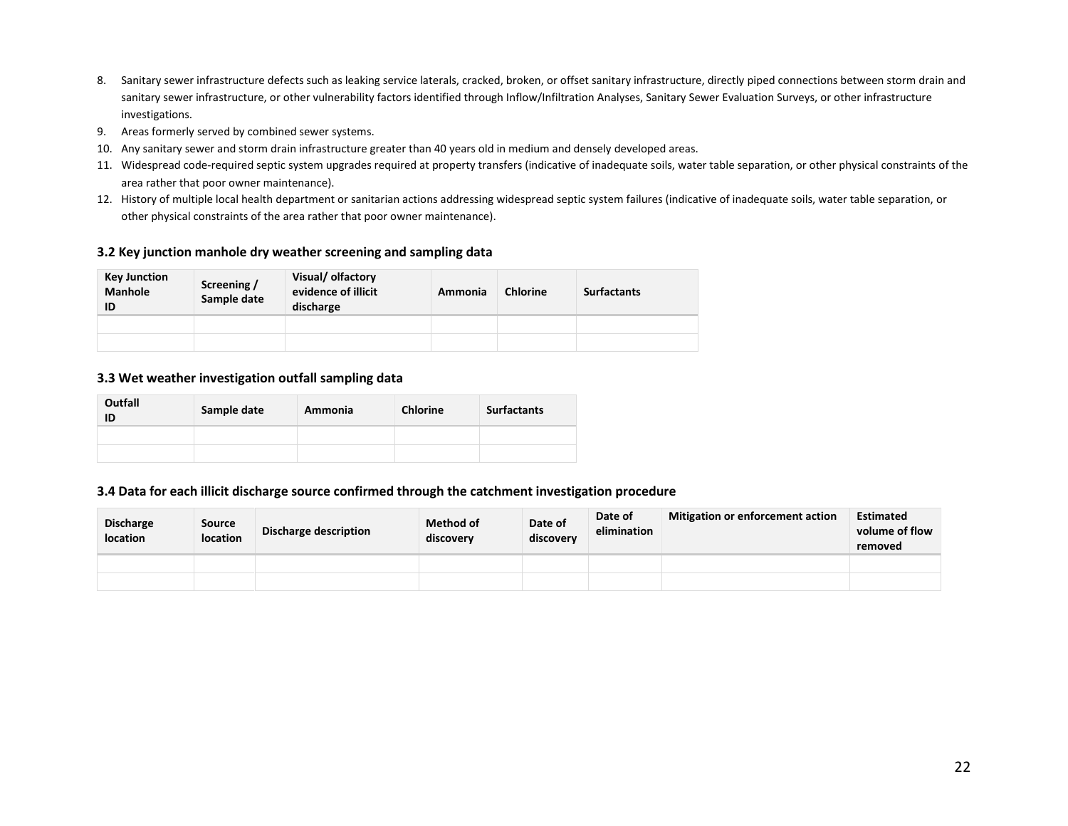- 8. Sanitary sewer infrastructure defects such as leaking service laterals, cracked, broken, or offset sanitary infrastructure, directly piped connections between storm drain and sanitary sewer infrastructure, or other vulnerability factors identified through Inflow/Infiltration Analyses, Sanitary Sewer Evaluation Surveys, or other infrastructure investigations.
- 9. Areas formerly served by combined sewer systems.
- 10. Any sanitary sewer and storm drain infrastructure greater than 40 years old in medium and densely developed areas.
- 11. Widespread code-required septic system upgrades required at property transfers (indicative of inadequate soils, water table separation, or other physical constraints of the area rather that poor owner maintenance).
- 12. History of multiple local health department or sanitarian actions addressing widespread septic system failures (indicative of inadequate soils, water table separation, or other physical constraints of the area rather that poor owner maintenance).

#### **3.2 Key junction manhole dry weather screening and sampling data**

| Key Junction<br><b>Manhole</b><br>ID | Screening /<br>Sample date | Visual/ olfactory<br>evidence of illicit<br>discharge | Ammonia | <b>Chlorine</b> | <b>Surfactants</b> |
|--------------------------------------|----------------------------|-------------------------------------------------------|---------|-----------------|--------------------|
|                                      |                            |                                                       |         |                 |                    |
|                                      |                            |                                                       |         |                 |                    |

#### **3.3 Wet weather investigation outfall sampling data**

| Outfall<br>ID | Sample date | Ammonia | <b>Chlorine</b> | <b>Surfactants</b> |
|---------------|-------------|---------|-----------------|--------------------|
|               |             |         |                 |                    |
|               |             |         |                 |                    |

#### **3.4 Data for each illicit discharge source confirmed through the catchment investigation procedure**

| <b>Discharge</b><br><b>location</b> | <b>Source</b><br><b>location</b> | Discharge description | <b>Method of</b><br>discovery | Date of<br>discovery | Date of<br>elimination | <b>Mitigation or enforcement action</b> | <b>Estimated</b><br>volume of flow<br>removed |
|-------------------------------------|----------------------------------|-----------------------|-------------------------------|----------------------|------------------------|-----------------------------------------|-----------------------------------------------|
|                                     |                                  |                       |                               |                      |                        |                                         |                                               |
|                                     |                                  |                       |                               |                      |                        |                                         |                                               |